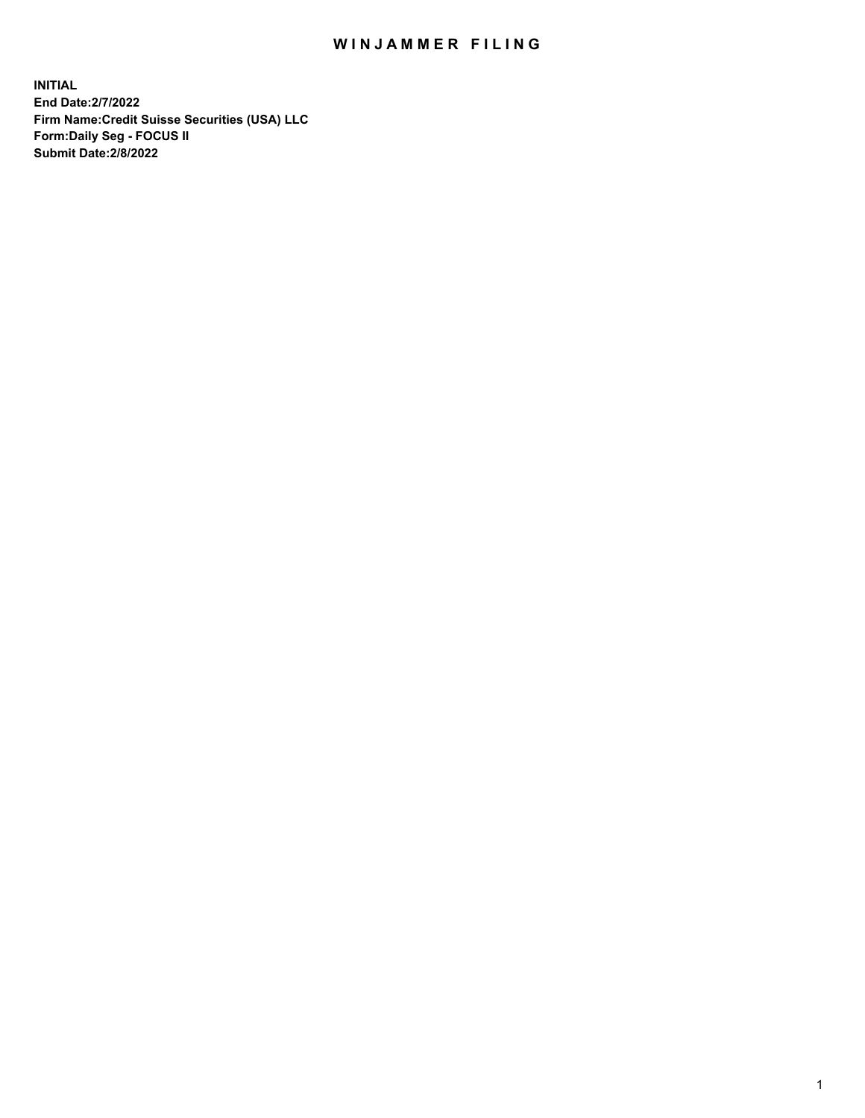## WIN JAMMER FILING

**INITIAL End Date:2/7/2022 Firm Name:Credit Suisse Securities (USA) LLC Form:Daily Seg - FOCUS II Submit Date:2/8/2022**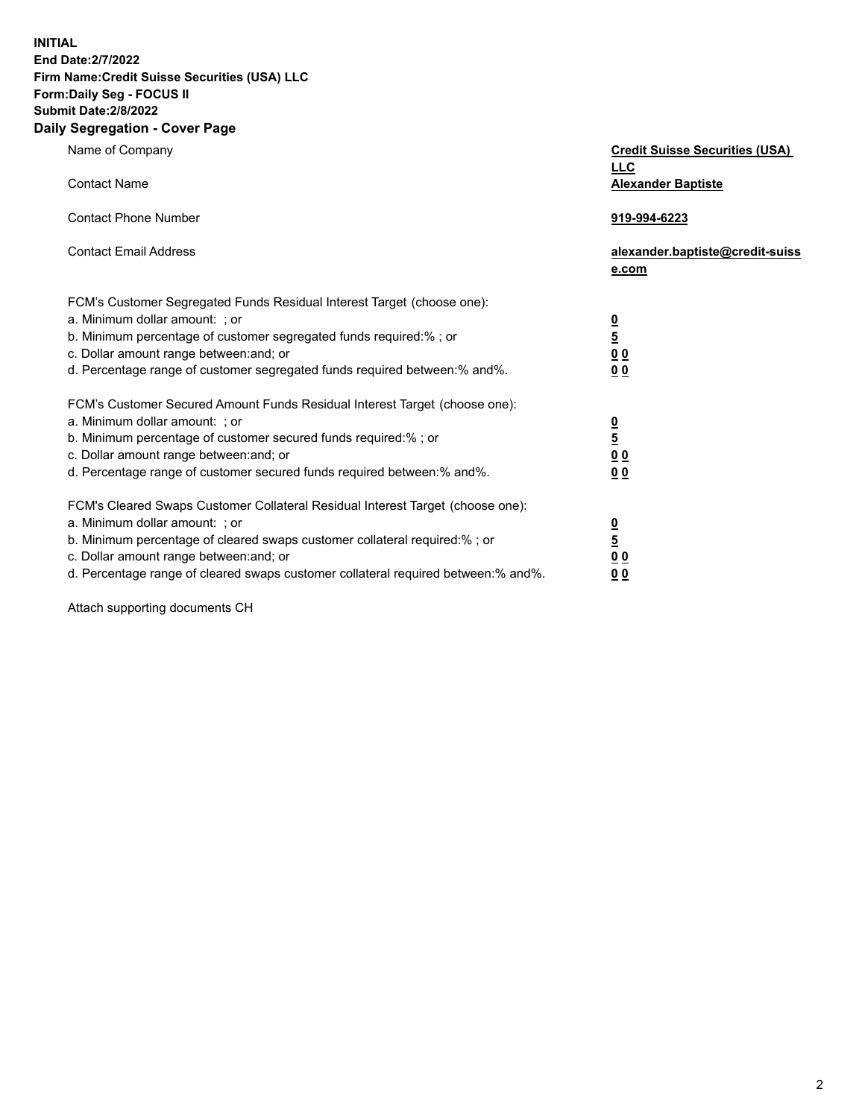**INITIAL** 

## **End Date:2/7/2022 Firm Name:Credit Suisse Securities (USA) LLC Form:Daily Seg - FOCUS II Submit Date:2/8/2022**

## **Daily Segregation - Cover Page**

| Name of Company                                                                   | <b>Credit Suisse Securities (USA)</b> |
|-----------------------------------------------------------------------------------|---------------------------------------|
|                                                                                   | <b>LLC</b>                            |
| <b>Contact Name</b>                                                               | <b>Alexander Baptiste</b>             |
|                                                                                   |                                       |
| <b>Contact Phone Number</b>                                                       | 919-994-6223                          |
|                                                                                   |                                       |
| <b>Contact Email Address</b>                                                      | alexander.baptiste@credit-suiss       |
|                                                                                   | e.com                                 |
|                                                                                   |                                       |
| FCM's Customer Segregated Funds Residual Interest Target (choose one):            |                                       |
| a. Minimum dollar amount: ; or                                                    | $\frac{0}{5}$                         |
| b. Minimum percentage of customer segregated funds required:% ; or                |                                       |
| c. Dollar amount range between: and; or                                           | 0 <sub>0</sub>                        |
| d. Percentage range of customer segregated funds required between: % and %.       | 0 <sub>0</sub>                        |
|                                                                                   |                                       |
| FCM's Customer Secured Amount Funds Residual Interest Target (choose one):        |                                       |
| a. Minimum dollar amount: ; or                                                    |                                       |
| b. Minimum percentage of customer secured funds required:%; or                    | $\frac{0}{5}$                         |
| c. Dollar amount range between: and; or                                           | $\underline{0}$ $\underline{0}$       |
| d. Percentage range of customer secured funds required between:% and%.            | 00                                    |
|                                                                                   |                                       |
| FCM's Cleared Swaps Customer Collateral Residual Interest Target (choose one):    |                                       |
| a. Minimum dollar amount: ; or                                                    |                                       |
|                                                                                   | $\overline{\mathbf{0}}$               |
| b. Minimum percentage of cleared swaps customer collateral required:% ; or        | $\overline{5}$                        |
| c. Dollar amount range between: and; or                                           | <u>00</u>                             |
| d. Percentage range of cleared swaps customer collateral required between:% and%. | 0 <sub>0</sub>                        |

Attach supporting documents CH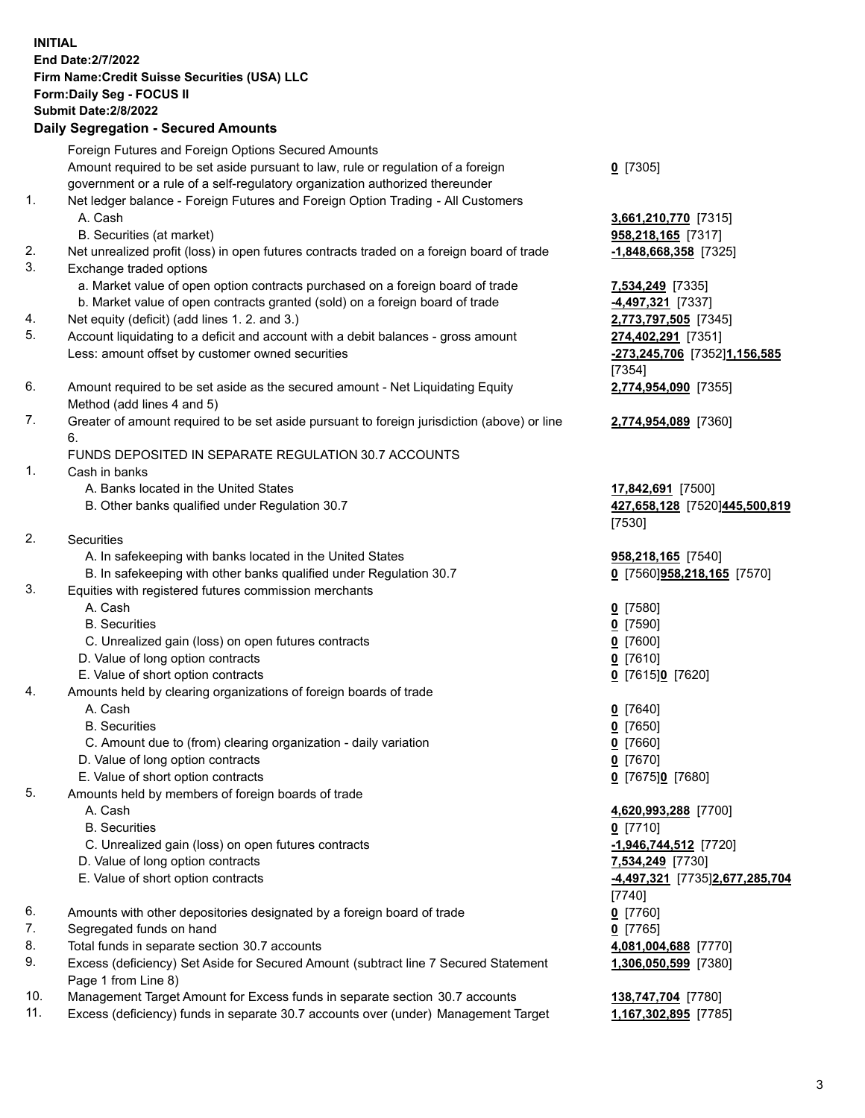**INITIAL End Date:2/7/2022 Firm Name:Credit Suisse Securities (USA) LLC Form:Daily Seg - FOCUS II Submit Date:2/8/2022 Daily Segregation - Secured Amounts** 

Foreign Futures and Foreign Options Secured Amounts Amount required to be set aside pursuant to law, rule or regulation of a foreign **0** [7305] government or a rule of a self-regulatory organization authorized thereunder 1. Net ledger balance - Foreign Futures and Foreign Option Trading - All Customers A. Cash **3,661,210,770** [7315] B. Securities (at market) **958,218,165** [7317] 2. Net unrealized profit (loss) in open futures contracts traded on a foreign board of trade **-1,848,668,358** [7325] 3. Exchange traded options a. Market value of open option contracts purchased on a foreign board of trade **7,534,249** [7335] b. Market value of open contracts granted (sold) on a foreign board of trade **-4,497,321** [7337] 4. Net equity (deficit) (add lines 1. 2. and 3.) **2,773,797,505** [7345] 5. Account liquidating to a deficit and account with a debit balances - gross amount **274,402,291** [7351] Less: amount offset by customer owned securities **-273,245,706** [7352] **1,156,585**  [7354] 6. Amount required to be set aside as the secured amount - Net Liquidating Equity **2,774,954,090** [7355] Method (add lines 4 and 5) 7. Greater of amount required to be set aside pursuant to foreign jurisdiction (above) or line **2,774,954,089** [7360] 6. FUNDS DEPOSITED IN SEPARATE REGULATION 30.7 ACCOUNTS 1. Cash in banks A. Banks located in the United States **17,842,691** [7500] B. Other banks qualified under Regulation 30.7 **427,658,128** [7520] **445,500,819**  [7530] 2. Securities A. In safekeeping with banks located in the United States **958,218,165** [7540] B. In safekeeping with other banks qualified under Regulation 30.7 **0** [7560] **958,218,165** [7570] 3. Equities with registered futures commission merchants A. Cash **0** [7580] B. Securities **0** [7590] C. Unrealized gain (loss) on open futures contracts **0** [7600] D. Value of long option contracts **0** [7610] E. Value of short option contracts **0** [7615] **0** [7620] 4. Amounts held by clearing organizations of foreign boards of trade A. Cash **0** [7640] B. Securities **0** [7650] C. Amount due to (from) clearing organization - daily variation **0** [7660] D. Value of long option contracts **0** [7670] E. Value of short option contracts **0** [7675] **0** [7680] 5. Amounts held by members of foreign boards of trade A. Cash **4,620,993,288** [7700] B. Securities **0** [7710] C. Unrealized gain (loss) on open futures contracts **-1,946,744,512** [7720] D. Value of long option contracts **7,534,249** [7730] E. Value of short option contracts **-4,497,321** [7735] **2,677,285,704**  [7740] 6. Amounts with other depositories designated by a foreign board of trade **0** [7760] 7. Segregated funds on hand **0** [7765] 8. Total funds in separate section 30.7 accounts **4,081,004,688** [7770] 9. Excess (deficiency) Set Aside for Secured Amount (subtract line 7 Secured Statement **1,306,050,599** [7380] Page 1 from Line 8)

10. Management Target Amount for Excess funds in separate section 30.7 accounts **138,747,704** [7780]

11. Excess (deficiency) funds in separate 30.7 accounts over (under) Management Target **1,167,302,895** [7785]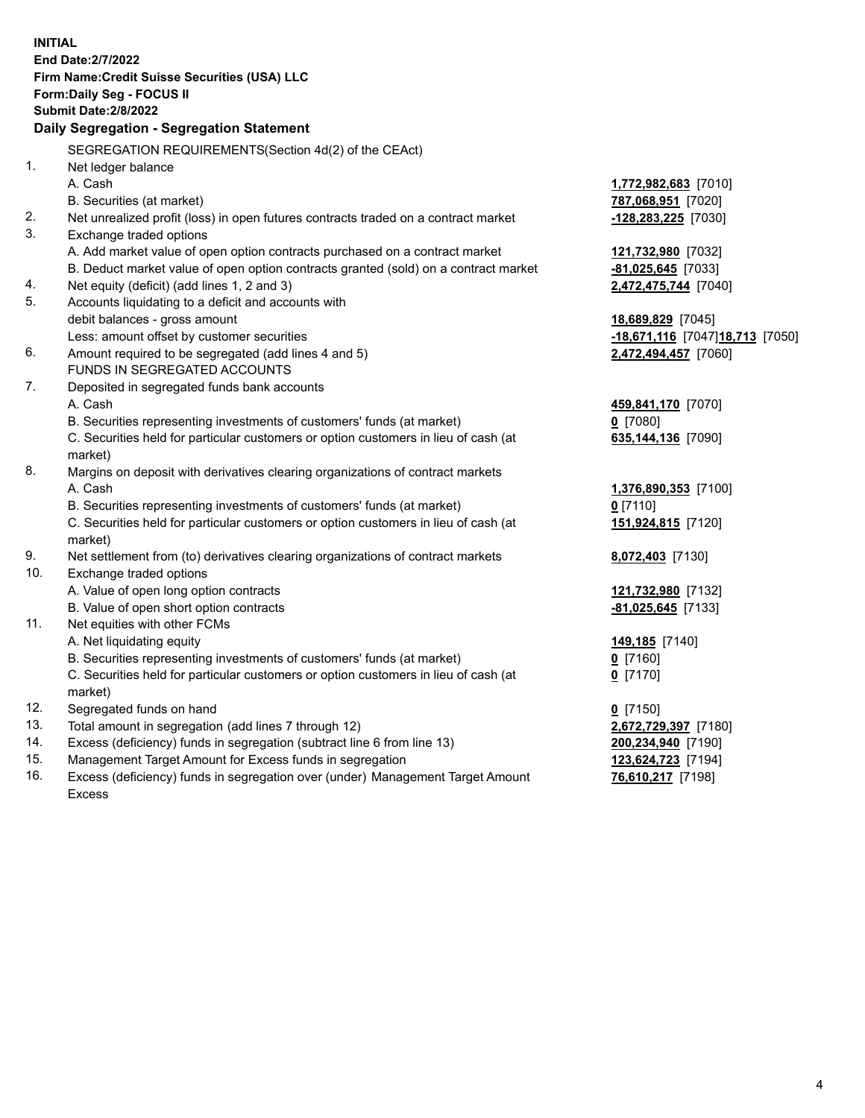| <b>INITIAL</b> | End Date: 2/7/2022<br>Firm Name: Credit Suisse Securities (USA) LLC<br>Form: Daily Seg - FOCUS II<br><b>Submit Date: 2/8/2022</b> |                                  |
|----------------|-----------------------------------------------------------------------------------------------------------------------------------|----------------------------------|
|                | Daily Segregation - Segregation Statement                                                                                         |                                  |
|                | SEGREGATION REQUIREMENTS(Section 4d(2) of the CEAct)                                                                              |                                  |
| 1.             | Net ledger balance                                                                                                                |                                  |
|                | A. Cash                                                                                                                           | 1,772,982,683 [7010]             |
|                | B. Securities (at market)                                                                                                         | 787,068,951 [7020]               |
| 2.             | Net unrealized profit (loss) in open futures contracts traded on a contract market                                                | -128,283,225 [7030]              |
| 3.             | Exchange traded options                                                                                                           |                                  |
|                | A. Add market value of open option contracts purchased on a contract market                                                       | 121,732,980 [7032]               |
|                | B. Deduct market value of open option contracts granted (sold) on a contract market                                               | $-81,025,645$ [7033]             |
| 4.             | Net equity (deficit) (add lines 1, 2 and 3)                                                                                       | 2,472,475,744 [7040]             |
| 5.             | Accounts liquidating to a deficit and accounts with                                                                               |                                  |
|                | debit balances - gross amount                                                                                                     | 18,689,829 [7045]                |
|                | Less: amount offset by customer securities                                                                                        | -18,671,116 [7047] 18,713 [7050] |
| 6.             | Amount required to be segregated (add lines 4 and 5)<br>FUNDS IN SEGREGATED ACCOUNTS                                              | 2,472,494,457 [7060]             |
| 7.             | Deposited in segregated funds bank accounts                                                                                       |                                  |
|                | A. Cash                                                                                                                           | 459,841,170 [7070]               |
|                | B. Securities representing investments of customers' funds (at market)                                                            | $0$ [7080]                       |
|                | C. Securities held for particular customers or option customers in lieu of cash (at                                               | 635,144,136 [7090]               |
|                | market)                                                                                                                           |                                  |
| 8.             | Margins on deposit with derivatives clearing organizations of contract markets                                                    |                                  |
|                | A. Cash                                                                                                                           | 1,376,890,353 [7100]             |
|                | B. Securities representing investments of customers' funds (at market)                                                            | $0$ [7110]                       |
|                | C. Securities held for particular customers or option customers in lieu of cash (at                                               | 151,924,815 [7120]               |
|                | market)                                                                                                                           |                                  |
| 9.             | Net settlement from (to) derivatives clearing organizations of contract markets                                                   | 8,072,403 [7130]                 |
| 10.            | Exchange traded options                                                                                                           |                                  |
|                | A. Value of open long option contracts                                                                                            | 121,732,980 [7132]               |
|                | B. Value of open short option contracts                                                                                           | $-81,025,645$ [7133]             |
| 11.            | Net equities with other FCMs                                                                                                      |                                  |
|                | A. Net liquidating equity                                                                                                         | 149,185 [7140]                   |
|                | B. Securities representing investments of customers' funds (at market)                                                            | 0 [7160]                         |
|                | C. Securities held for particular customers or option customers in lieu of cash (at                                               | $0$ [7170]                       |
|                | market)                                                                                                                           |                                  |
| 12.            | Segregated funds on hand                                                                                                          | $0$ [7150]                       |
| 13.            | Total amount in segregation (add lines 7 through 12)                                                                              | 2,672,729,397 [7180]             |
| 14.            | Excess (deficiency) funds in segregation (subtract line 6 from line 13)                                                           | 200,234,940 [7190]               |
| 15.            | Management Target Amount for Excess funds in segregation                                                                          | 123,624,723 [7194]               |
| 16.            | Excess (deficiency) funds in segregation over (under) Management Target Amount                                                    | 76,610,217 [7198]                |
|                | <b>Excess</b>                                                                                                                     |                                  |